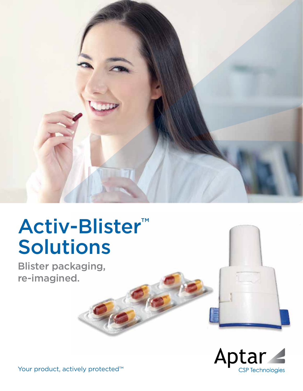

# Activ-Blister™ Solutions

Blister packaging, re-imagined.





Your product, actively protected<sup>™</sup>